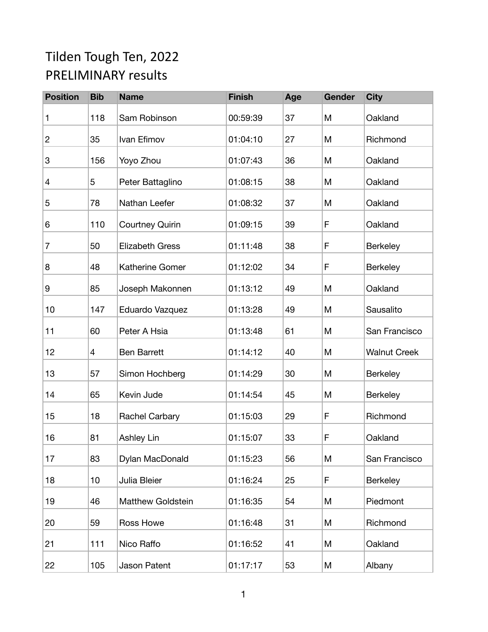## Tilden Tough Ten, 2022 PRELIMINARY results

| <b>Position</b> | <b>Bib</b> | <b>Name</b>              | <b>Finish</b> | Age | Gender | <b>City</b>         |
|-----------------|------------|--------------------------|---------------|-----|--------|---------------------|
| 1               | 118        | Sam Robinson             | 00:59:39      | 37  | M      | Oakland             |
| $\overline{c}$  | 35         | Ivan Efimov              | 01:04:10      | 27  | M      | Richmond            |
| 3               | 156        | Yoyo Zhou                | 01:07:43      | 36  | M      | Oakland             |
| 4               | 5          | Peter Battaglino         | 01:08:15      | 38  | M      | Oakland             |
| 5               | 78         | Nathan Leefer            | 01:08:32      | 37  | M      | Oakland             |
| 6               | 110        | <b>Courtney Quirin</b>   | 01:09:15      | 39  | F      | Oakland             |
| 7               | 50         | <b>Elizabeth Gress</b>   | 01:11:48      | 38  | F      | <b>Berkeley</b>     |
| 8               | 48         | Katherine Gomer          | 01:12:02      | 34  | F      | <b>Berkeley</b>     |
| 9               | 85         | Joseph Makonnen          | 01:13:12      | 49  | M      | Oakland             |
| 10              | 147        | Eduardo Vazquez          | 01:13:28      | 49  | M      | Sausalito           |
| 11              | 60         | Peter A Hsia             | 01:13:48      | 61  | M      | San Francisco       |
| 12              | 4          | <b>Ben Barrett</b>       | 01:14:12      | 40  | M      | <b>Walnut Creek</b> |
| 13              | 57         | Simon Hochberg           | 01:14:29      | 30  | M      | <b>Berkeley</b>     |
| 14              | 65         | Kevin Jude               | 01:14:54      | 45  | M      | <b>Berkeley</b>     |
| 15              | 18         | Rachel Carbary           | 01:15:03      | 29  | F      | Richmond            |
| 16              | 81         | <b>Ashley Lin</b>        | 01:15:07      | 33  | F      | Oakland             |
| 17              | 83         | Dylan MacDonald          | 01:15:23      | 56  | M      | San Francisco       |
| 18              | 10         | Julia Bleier             | 01:16:24      | 25  | F      | Berkeley            |
| 19              | 46         | <b>Matthew Goldstein</b> | 01:16:35      | 54  | M      | Piedmont            |
| 20              | 59         | Ross Howe                | 01:16:48      | 31  | M      | Richmond            |
| 21              | 111        | Nico Raffo               | 01:16:52      | 41  | M      | Oakland             |
| 22              | 105        | Jason Patent             | 01:17:17      | 53  | M      | Albany              |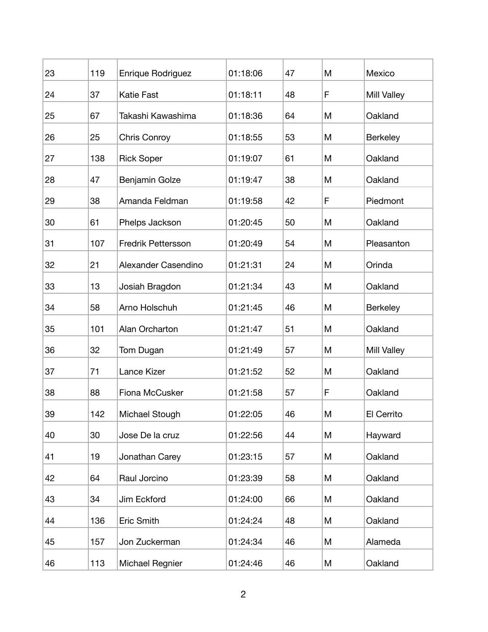| 23 | 119 | Enrique Rodriguez         | 01:18:06 | 47 | M | Mexico             |
|----|-----|---------------------------|----------|----|---|--------------------|
| 24 | 37  | <b>Katie Fast</b>         | 01:18:11 | 48 | F | Mill Valley        |
| 25 | 67  | Takashi Kawashima         | 01:18:36 | 64 | M | Oakland            |
| 26 | 25  | Chris Conroy              | 01:18:55 | 53 | M | <b>Berkeley</b>    |
| 27 | 138 | <b>Rick Soper</b>         | 01:19:07 | 61 | M | Oakland            |
| 28 | 47  | Benjamin Golze            | 01:19:47 | 38 | M | Oakland            |
| 29 | 38  | Amanda Feldman            | 01:19:58 | 42 | F | Piedmont           |
| 30 | 61  | Phelps Jackson            | 01:20:45 | 50 | M | Oakland            |
| 31 | 107 | <b>Fredrik Pettersson</b> | 01:20:49 | 54 | M | Pleasanton         |
| 32 | 21  | Alexander Casendino       | 01:21:31 | 24 | M | Orinda             |
| 33 | 13  | Josiah Bragdon            | 01:21:34 | 43 | M | Oakland            |
| 34 | 58  | Arno Holschuh             | 01:21:45 | 46 | M | <b>Berkeley</b>    |
| 35 | 101 | Alan Orcharton            | 01:21:47 | 51 | M | Oakland            |
| 36 | 32  | Tom Dugan                 | 01:21:49 | 57 | M | <b>Mill Valley</b> |
| 37 | 71  | Lance Kizer               | 01:21:52 | 52 | M | Oakland            |
| 38 | 88  | Fiona McCusker            | 01:21:58 | 57 | F | Oakland            |
| 39 | 142 | Michael Stough            | 01:22:05 | 46 | M | El Cerrito         |
| 40 | 30  | Jose De la cruz           | 01:22:56 | 44 | M | Hayward            |
| 41 | 19  | Jonathan Carey            | 01:23:15 | 57 | M | Oakland            |
| 42 | 64  | Raul Jorcino              | 01:23:39 | 58 | M | Oakland            |
| 43 | 34  | Jim Eckford               | 01:24:00 | 66 | M | Oakland            |
| 44 | 136 | Eric Smith                | 01:24:24 | 48 | M | Oakland            |
| 45 | 157 | Jon Zuckerman             | 01:24:34 | 46 | M | Alameda            |
| 46 | 113 | Michael Regnier           | 01:24:46 | 46 | Μ | Oakland            |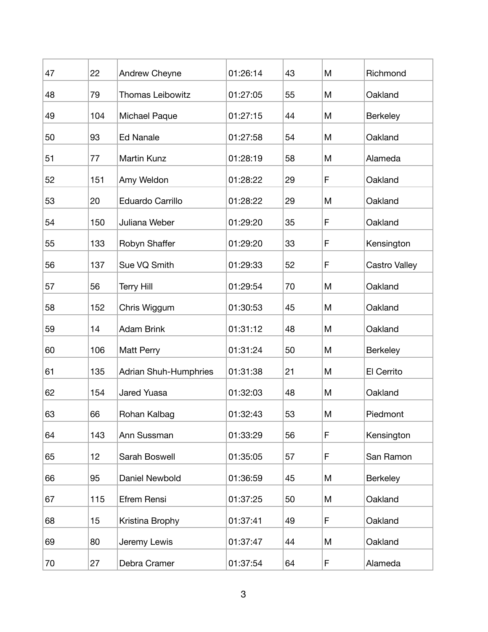| 47 | 22  | Andrew Cheyne                | 01:26:14 | 43 | M | Richmond        |
|----|-----|------------------------------|----------|----|---|-----------------|
| 48 | 79  | <b>Thomas Leibowitz</b>      | 01:27:05 | 55 | M | Oakland         |
| 49 | 104 | Michael Paque                | 01:27:15 | 44 | M | <b>Berkeley</b> |
| 50 | 93  | <b>Ed Nanale</b>             | 01:27:58 | 54 | M | Oakland         |
| 51 | 77  | Martin Kunz                  | 01:28:19 | 58 | M | Alameda         |
| 52 | 151 | Amy Weldon                   | 01:28:22 | 29 | F | Oakland         |
| 53 | 20  | Eduardo Carrillo             | 01:28:22 | 29 | M | Oakland         |
| 54 | 150 | Juliana Weber                | 01:29:20 | 35 | F | Oakland         |
| 55 | 133 | Robyn Shaffer                | 01:29:20 | 33 | F | Kensington      |
| 56 | 137 | Sue VQ Smith                 | 01:29:33 | 52 | F | Castro Valley   |
| 57 | 56  | <b>Terry Hill</b>            | 01:29:54 | 70 | M | Oakland         |
| 58 | 152 | Chris Wiggum                 | 01:30:53 | 45 | M | Oakland         |
| 59 | 14  | <b>Adam Brink</b>            | 01:31:12 | 48 | M | Oakland         |
| 60 | 106 | Matt Perry                   | 01:31:24 | 50 | M | <b>Berkeley</b> |
| 61 | 135 | <b>Adrian Shuh-Humphries</b> | 01:31:38 | 21 | M | El Cerrito      |
| 62 | 154 | Jared Yuasa                  | 01:32:03 | 48 | Μ | Oakland         |
| 63 | 66  | Rohan Kalbag                 | 01:32:43 | 53 | M | Piedmont        |
| 64 | 143 | Ann Sussman                  | 01:33:29 | 56 | F | Kensington      |
| 65 | 12  | Sarah Boswell                | 01:35:05 | 57 | F | San Ramon       |
| 66 | 95  | Daniel Newbold               | 01:36:59 | 45 | M | Berkeley        |
| 67 | 115 | Efrem Rensi                  | 01:37:25 | 50 | M | Oakland         |
| 68 | 15  | Kristina Brophy              | 01:37:41 | 49 | F | Oakland         |
| 69 | 80  | Jeremy Lewis                 | 01:37:47 | 44 | M | Oakland         |
| 70 | 27  | Debra Cramer                 | 01:37:54 | 64 | F | Alameda         |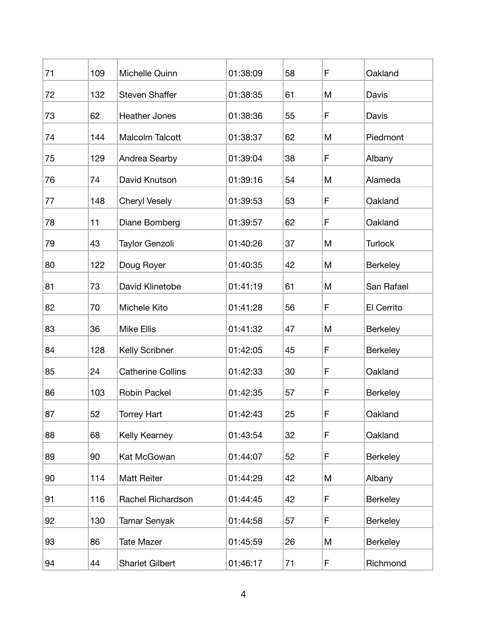| 71 | 109 | Michelle Quinn           | 01:38:09 | 58 | F | Oakland         |
|----|-----|--------------------------|----------|----|---|-----------------|
| 72 | 132 | <b>Steven Shaffer</b>    | 01:38:35 | 61 | M | Davis           |
| 73 | 62  | <b>Heather Jones</b>     | 01:38:36 | 55 | F | Davis           |
| 74 | 144 | <b>Malcolm Talcott</b>   | 01:38:37 | 62 | M | Piedmont        |
| 75 | 129 | Andrea Searby            | 01:39:04 | 38 | F | Albany          |
| 76 | 74  | David Knutson            | 01:39:16 | 54 | M | Alameda         |
| 77 | 148 | <b>Cheryl Vesely</b>     | 01:39:53 | 53 | F | Oakland         |
| 78 | 11  | Diane Bomberg            | 01:39:57 | 62 | F | Oakland         |
| 79 | 43  | Taylor Genzoli           | 01:40:26 | 37 | M | <b>Turlock</b>  |
| 80 | 122 | Doug Royer               | 01:40:35 | 42 | M | <b>Berkeley</b> |
| 81 | 73  | David Klinetobe          | 01:41:19 | 61 | M | San Rafael      |
| 82 | 70  | Michele Kito             | 01:41:28 | 56 | F | El Cerrito      |
| 83 | 36  | <b>Mike Ellis</b>        | 01:41:32 | 47 | M | <b>Berkeley</b> |
| 84 | 128 | Kelly Scribner           | 01:42:05 | 45 | F | Berkeley        |
| 85 | 24  | <b>Catherine Collins</b> | 01:42:33 | 30 | F | Oakland         |
| 86 | 103 | Robin Packel             | 01:42:35 | 57 | F | <b>Berkeley</b> |
| 87 | 52  | <b>Torrey Hart</b>       | 01:42:43 | 25 | F | Oakland         |
| 88 | 68  | Kelly Kearney            | 01:43:54 | 32 | F | Oakland         |
| 89 | 90  | Kat McGowan              | 01:44:07 | 52 | F | Berkeley        |
| 90 | 114 | <b>Matt Reiter</b>       | 01:44:29 | 42 | M | Albany          |
| 91 | 116 | Rachel Richardson        | 01:44:45 | 42 | F | Berkeley        |
| 92 | 130 | <b>Tamar Senyak</b>      | 01:44:58 | 57 | F | <b>Berkeley</b> |
| 93 | 86  | <b>Tate Mazer</b>        | 01:45:59 | 26 | M | Berkeley        |
| 94 | 44  | <b>Sharlet Gilbert</b>   | 01:46:17 | 71 | F | Richmond        |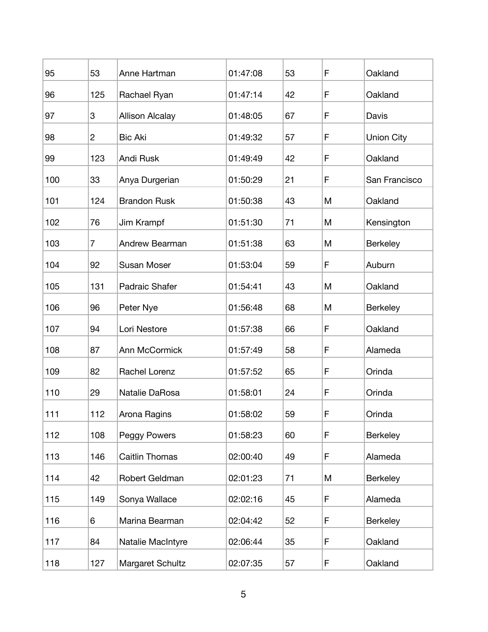| 95  | 53             | Anne Hartman           | 01:47:08 | 53 | F | Oakland           |
|-----|----------------|------------------------|----------|----|---|-------------------|
| 96  | 125            | Rachael Ryan           | 01:47:14 | 42 | F | Oakland           |
| 97  | 3              | <b>Allison Alcalay</b> | 01:48:05 | 67 | F | Davis             |
| 98  | $\overline{2}$ | <b>Bic Aki</b>         | 01:49:32 | 57 | F | <b>Union City</b> |
| 99  | 123            | Andi Rusk              | 01:49:49 | 42 | F | Oakland           |
| 100 | 33             | Anya Durgerian         | 01:50:29 | 21 | F | San Francisco     |
| 101 | 124            | <b>Brandon Rusk</b>    | 01:50:38 | 43 | M | Oakland           |
| 102 | 76             | Jim Krampf             | 01:51:30 | 71 | M | Kensington        |
| 103 | $\overline{7}$ | Andrew Bearman         | 01:51:38 | 63 | M | Berkeley          |
| 104 | 92             | <b>Susan Moser</b>     | 01:53:04 | 59 | F | Auburn            |
| 105 | 131            | Padraic Shafer         | 01:54:41 | 43 | M | Oakland           |
| 106 | 96             | Peter Nye              | 01:56:48 | 68 | M | <b>Berkeley</b>   |
| 107 | 94             | Lori Nestore           | 01:57:38 | 66 | F | Oakland           |
| 108 | 87             | Ann McCormick          | 01:57:49 | 58 | F | Alameda           |
| 109 | 82             | Rachel Lorenz          | 01:57:52 | 65 | F | Orinda            |
| 110 | 29             | Natalie DaRosa         | 01:58:01 | 24 | F | Orinda            |
| 111 | 112            | Arona Ragins           | 01:58:02 | 59 | F | Orinda            |
| 112 | 108            | Peggy Powers           | 01:58:23 | 60 | F | Berkeley          |
| 113 | 146            | <b>Caitlin Thomas</b>  | 02:00:40 | 49 | F | Alameda           |
| 114 | 42             | Robert Geldman         | 02:01:23 | 71 | M | Berkeley          |
| 115 | 149            | Sonya Wallace          | 02:02:16 | 45 | F | Alameda           |
| 116 | 6              | Marina Bearman         | 02:04:42 | 52 | F | Berkeley          |
| 117 | 84             | Natalie MacIntyre      | 02:06:44 | 35 | F | Oakland           |
| 118 | 127            | Margaret Schultz       | 02:07:35 | 57 | F | Oakland           |